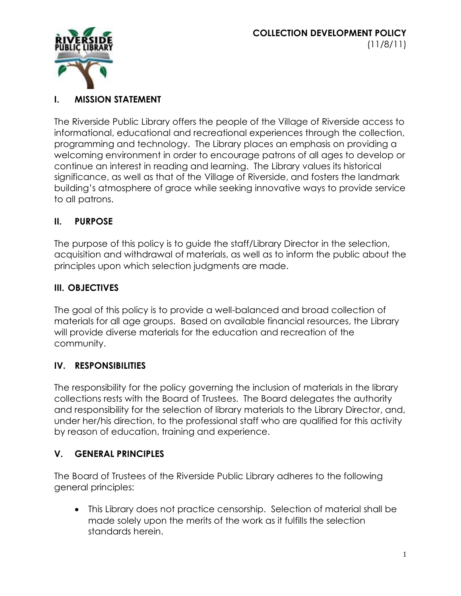

## **I. MISSION STATEMENT**

The Riverside Public Library offers the people of the Village of Riverside access to informational, educational and recreational experiences through the collection, programming and technology. The Library places an emphasis on providing a welcoming environment in order to encourage patrons of all ages to develop or continue an interest in reading and learning. The Library values its historical significance, as well as that of the Village of Riverside, and fosters the landmark building's atmosphere of grace while seeking innovative ways to provide service to all patrons.

### **II. PURPOSE**

The purpose of this policy is to guide the staff/Library Director in the selection, acquisition and withdrawal of materials, as well as to inform the public about the principles upon which selection judgments are made.

### **III. OBJECTIVES**

The goal of this policy is to provide a well-balanced and broad collection of materials for all age groups. Based on available financial resources, the Library will provide diverse materials for the education and recreation of the community.

### **IV. RESPONSIBILITIES**

The responsibility for the policy governing the inclusion of materials in the library collections rests with the Board of Trustees. The Board delegates the authority and responsibility for the selection of library materials to the Library Director, and, under her/his direction, to the professional staff who are qualified for this activity by reason of education, training and experience.

### **V. GENERAL PRINCIPLES**

The Board of Trustees of the Riverside Public Library adheres to the following general principles:

 This Library does not practice censorship. Selection of material shall be made solely upon the merits of the work as it fulfills the selection standards herein.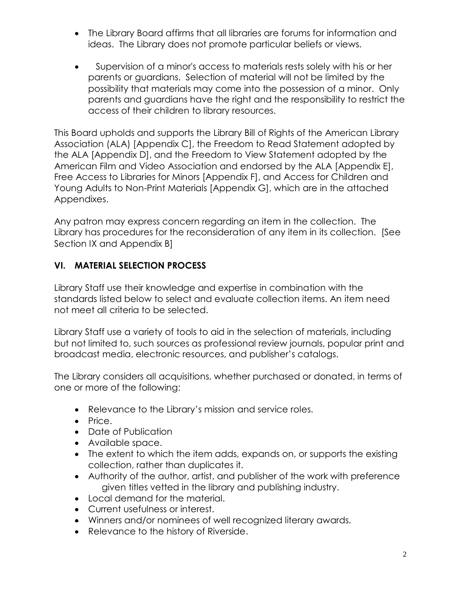- The Library Board affirms that all libraries are forums for information and ideas. The Library does not promote particular beliefs or views.
- Supervision of a minor's access to materials rests solely with his or her parents or guardians. Selection of material will not be limited by the possibility that materials may come into the possession of a minor. Only parents and guardians have the right and the responsibility to restrict the access of their children to library resources.

This Board upholds and supports the Library Bill of Rights of the American Library Association (ALA) [Appendix C], the Freedom to Read Statement adopted by the ALA [Appendix D], and the Freedom to View Statement adopted by the American Film and Video Association and endorsed by the ALA [Appendix E], Free Access to Libraries for Minors [Appendix F], and Access for Children and Young Adults to Non-Print Materials [Appendix G], which are in the attached Appendixes.

Any patron may express concern regarding an item in the collection. The Library has procedures for the reconsideration of any item in its collection. [See Section IX and Appendix B]

## **VI. MATERIAL SELECTION PROCESS**

Library Staff use their knowledge and expertise in combination with the standards listed below to select and evaluate collection items. An item need not meet all criteria to be selected.

Library Staff use a variety of tools to aid in the selection of materials, including but not limited to, such sources as professional review journals, popular print and broadcast media, electronic resources, and publisher's catalogs.

The Library considers all acquisitions, whether purchased or donated, in terms of one or more of the following:

- Relevance to the Library's mission and service roles.
- Price.
- Date of Publication
- Available space.
- The extent to which the item adds, expands on, or supports the existing collection, rather than duplicates it.
- Authority of the author, artist, and publisher of the work with preference given titles vetted in the library and publishing industry.
- Local demand for the material.
- Current usefulness or interest.
- Winners and/or nominees of well recognized literary awards.
- Relevance to the history of Riverside.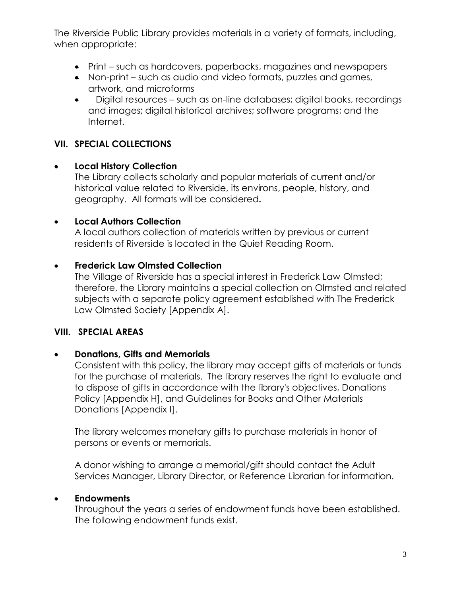The Riverside Public Library provides materials in a variety of formats, including, when appropriate:

- Print such as hardcovers, paperbacks, magazines and newspapers
- Non-print such as audio and video formats, puzzles and games, artwork, and microforms
- Digital resources such as on-line databases; digital books, recordings and images; digital historical archives; software programs; and the Internet.

## **VII. SPECIAL COLLECTIONS**

#### **Local History Collection**

The Library collects scholarly and popular materials of current and/or historical value related to Riverside, its environs, people, history, and geography. All formats will be considered**.**

#### **Local Authors Collection**

A local authors collection of materials written by previous or current residents of Riverside is located in the Quiet Reading Room.

### **Frederick Law Olmsted Collection**

The Village of Riverside has a special interest in Frederick Law Olmsted; therefore, the Library maintains a special collection on Olmsted and related subjects with a separate policy agreement established with The Frederick Law Olmsted Society [Appendix A].

### **VIII. SPECIAL AREAS**

### **Donations, Gifts and Memorials**

Consistent with this policy, the library may accept gifts of materials or funds for the purchase of materials. The library reserves the right to evaluate and to dispose of gifts in accordance with the library's objectives, Donations Policy [Appendix H], and Guidelines for Books and Other Materials Donations [Appendix I].

The library welcomes monetary gifts to purchase materials in honor of persons or events or memorials.

A donor wishing to arrange a memorial/gift should contact the Adult Services Manager, Library Director, or Reference Librarian for information.

### **Endowments**

Throughout the years a series of endowment funds have been established. The following endowment funds exist.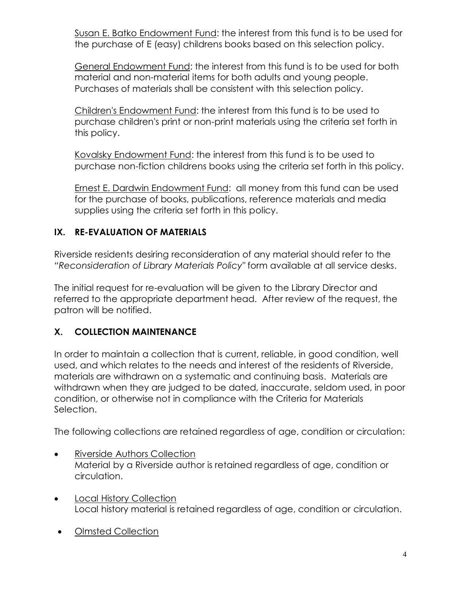Susan E. Batko Endowment Fund: the interest from this fund is to be used for the purchase of E (easy) childrens books based on this selection policy.

General Endowment Fund: the interest from this fund is to be used for both material and non-material items for both adults and young people. Purchases of materials shall be consistent with this selection policy.

Children's Endowment Fund: the interest from this fund is to be used to purchase children's print or non-print materials using the criteria set forth in this policy.

Kovalsky Endowment Fund: the interest from this fund is to be used to purchase non-fiction childrens books using the criteria set forth in this policy.

Ernest E. Dardwin Endowment Fund: all money from this fund can be used for the purchase of books, publications, reference materials and media supplies using the criteria set forth in this policy.

### **IX. RE-EVALUATION OF MATERIALS**

Riverside residents desiring reconsideration of any material should refer to the *"Reconsideration of Library Materials Policy"* form available at all service desks.

The initial request for re-evaluation will be given to the Library Director and referred to the appropriate department head. After review of the request, the patron will be notified.

# **X. COLLECTION MAINTENANCE**

In order to maintain a collection that is current, reliable, in good condition, well used, and which relates to the needs and interest of the residents of Riverside, materials are withdrawn on a systematic and continuing basis. Materials are withdrawn when they are judged to be dated, inaccurate, seldom used, in poor condition, or otherwise not in compliance with the Criteria for Materials Selection.

The following collections are retained regardless of age, condition or circulation:

- Riverside Authors Collection Material by a Riverside author is retained regardless of age, condition or circulation.
- Local History Collection Local history material is retained regardless of age, condition or circulation.
- Olmsted Collection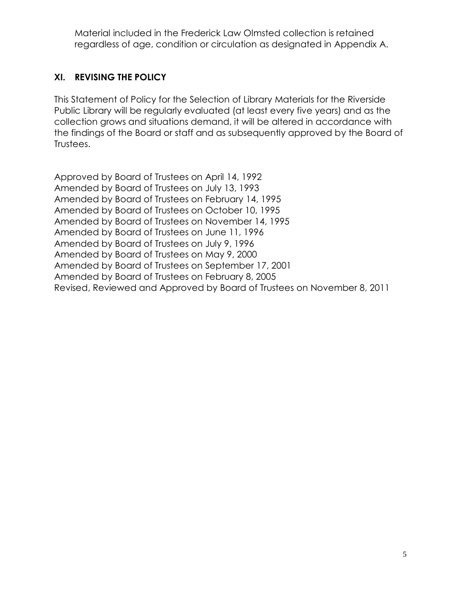Material included in the Frederick Law Olmsted collection is retained regardless of age, condition or circulation as designated in Appendix A.

# **XI. REVISING THE POLICY**

This Statement of Policy for the Selection of Library Materials for the Riverside Public Library will be regularly evaluated (at least every five years) and as the collection grows and situations demand, it will be altered in accordance with the findings of the Board or staff and as subsequently approved by the Board of Trustees.

Approved by Board of Trustees on April 14, 1992 Amended by Board of Trustees on July 13, 1993 Amended by Board of Trustees on February 14, 1995 Amended by Board of Trustees on October 10, 1995 Amended by Board of Trustees on November 14, 1995 Amended by Board of Trustees on June 11, 1996 Amended by Board of Trustees on July 9, 1996 Amended by Board of Trustees on May 9, 2000 Amended by Board of Trustees on September 17, 2001 Amended by Board of Trustees on February 8, 2005 Revised, Reviewed and Approved by Board of Trustees on November 8, 2011